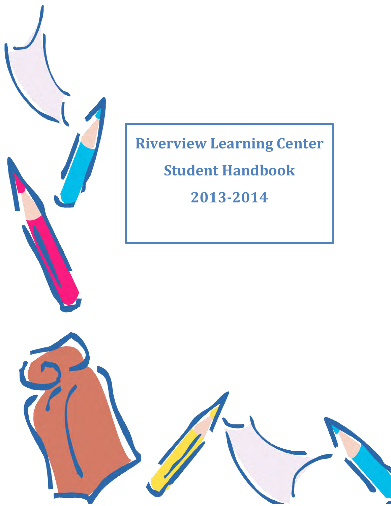

# **Riverview Learning Center Student Handbook 2013-2014**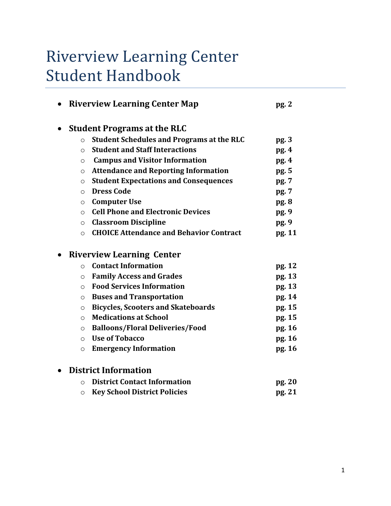## Riverview Learning Center Student Handbook

| <b>Riverview Learning Center Map</b><br>pg.2 |                                                  |        |  |  |
|----------------------------------------------|--------------------------------------------------|--------|--|--|
|                                              | <b>Student Programs at the RLC</b>               |        |  |  |
| $\circ$                                      | <b>Student Schedules and Programs at the RLC</b> | pg.3   |  |  |
| $\circ$                                      | <b>Student and Staff Interactions</b>            | pg.4   |  |  |
| $\circ$                                      | <b>Campus and Visitor Information</b>            | pg. 4  |  |  |
| $\circ$                                      | <b>Attendance and Reporting Information</b>      | pg. 5  |  |  |
| $\circ$                                      | <b>Student Expectations and Consequences</b>     | pg. 7  |  |  |
| $\Omega$                                     | <b>Dress Code</b>                                | pg. 7  |  |  |
| $\circ$                                      | <b>Computer Use</b>                              | pg. 8  |  |  |
| $\circ$                                      | <b>Cell Phone and Electronic Devices</b>         | pg. 9  |  |  |
| $\circ$                                      | <b>Classroom Discipline</b>                      | pg. 9  |  |  |
| $\circ$                                      | <b>CHOICE Attendance and Behavior Contract</b>   | pg. 11 |  |  |
|                                              | <b>Riverview Learning Center</b>                 |        |  |  |
| $\Omega$                                     | <b>Contact Information</b>                       | pg. 12 |  |  |
| $\circ$                                      | <b>Family Access and Grades</b>                  | pg. 13 |  |  |
| $\circ$                                      | <b>Food Services Information</b>                 | pg. 13 |  |  |
| $\circ$                                      | <b>Buses and Transportation</b>                  | pg. 14 |  |  |
| $\circ$                                      | <b>Bicycles, Scooters and Skateboards</b>        | pg. 15 |  |  |
| $\circ$                                      | <b>Medications at School</b>                     | pg. 15 |  |  |
| $\circ$                                      | <b>Balloons/Floral Deliveries/Food</b>           | pg. 16 |  |  |
| $\circ$                                      | <b>Use of Tobacco</b>                            | pg. 16 |  |  |
| $\circ$                                      | <b>Emergency Information</b>                     | pg. 16 |  |  |
|                                              | <b>District Information</b>                      |        |  |  |
| $\circ$                                      | <b>District Contact Information</b>              | pg. 20 |  |  |
| $\circ$                                      | <b>Key School District Policies</b>              | pg. 21 |  |  |
|                                              |                                                  |        |  |  |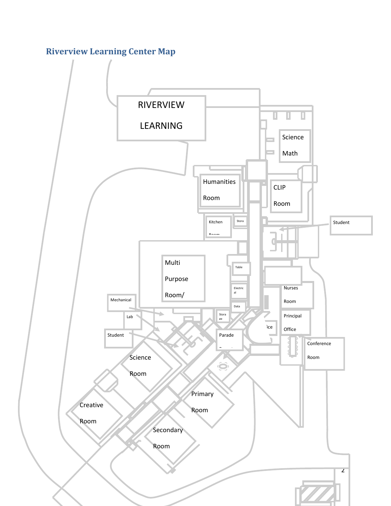## **Riverview Learning Center Map**

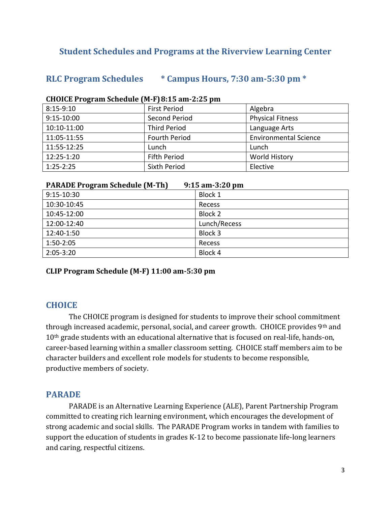#### **Student Schedules and Programs at the Riverview Learning Center**

#### **RLC Program Schedules \* Campus Hours, 7:30 am-5:30 pm \***

| $8:15-9:10$ | <b>First Period</b>  | Algebra                      |
|-------------|----------------------|------------------------------|
| 9:15-10:00  | Second Period        | <b>Physical Fitness</b>      |
| 10:10-11:00 | <b>Third Period</b>  | Language Arts                |
| 11:05-11:55 | <b>Fourth Period</b> | <b>Environmental Science</b> |
| 11:55-12:25 | Lunch                | Lunch                        |
| 12:25-1:20  | <b>Fifth Period</b>  | <b>World History</b>         |
| $1:25-2:25$ | Sixth Period         | Elective                     |

#### **CHOICE Program Schedule (M-F) 8:15 am-2:25 pm**

| <b>PARADE Program Schedule (M-Th)</b> | $9:15$ am-3:20 pm |
|---------------------------------------|-------------------|
| 9:15-10:30                            | Block 1           |
| 10:30-10:45                           | Recess            |
| 10:45-12:00                           | Block 2           |
| 12:00-12:40                           | Lunch/Recess      |
| 12:40-1:50                            | Block 3           |
| 1:50-2:05                             | Recess            |
| $2:05 - 3:20$                         | Block 4           |

**CLIP Program Schedule (M-F) 11:00 am-5:30 pm**

#### **CHOICE**

 The CHOICE program is designed for students to improve their school commitment through increased academic, personal, social, and career growth. CHOICE provides 9<sup>th</sup> and 10<sup>th</sup> grade students with an educational alternative that is focused on real-life, hands-on, career-based learning within a smaller classroom setting. CHOICE staff members aim to be character builders and excellent role models for students to become responsible, productive members of society.

#### **PARADE**

 PARADE is an Alternative Learning Experience (ALE), Parent Partnership Program committed to creating rich learning environment, which encourages the development of strong academic and social skills. The PARADE Program works in tandem with families to support the education of students in grades K-12 to become passionate life-long learners and caring, respectful citizens.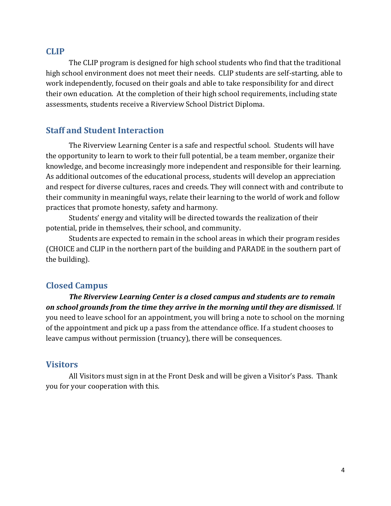#### **CLIP**

 The CLIP program is designed for high school students who find that the traditional high school environment does not meet their needs. CLIP students are self-starting, able to work independently, focused on their goals and able to take responsibility for and direct their own education. At the completion of their high school requirements, including state assessments, students receive a Riverview School District Diploma.

#### **Staff and Student Interaction**

The Riverview Learning Center is a safe and respectful school. Students will have the opportunity to learn to work to their full potential, be a team member, organize their knowledge, and become increasingly more independent and responsible for their learning. As additional outcomes of the educational process, students will develop an appreciation and respect for diverse cultures, races and creeds. They will connect with and contribute to their community in meaningful ways, relate their learning to the world of work and follow practices that promote honesty, safety and harmony.

Students' energy and vitality will be directed towards the realization of their potential, pride in themselves, their school, and community.

Students are expected to remain in the school areas in which their program resides (CHOICE and CLIP in the northern part of the building and PARADE in the southern part of the building).

#### **Closed Campus**

 *The Riverview Learning Center is a closed campus and students are to remain on school grounds from the time they arrive in the morning until they are dismissed.* If you need to leave school for an appointment, you will bring a note to school on the morning of the appointment and pick up a pass from the attendance office. If a student chooses to leave campus without permission (truancy), there will be consequences.

#### **Visitors**

 All Visitors must sign in at the Front Desk and will be given a Visitor's Pass. Thank you for your cooperation with this.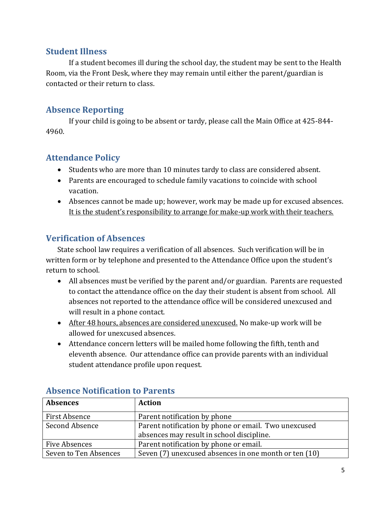#### **Student Illness**

If a student becomes ill during the school day, the student may be sent to the Health Room, via the Front Desk, where they may remain until either the parent/guardian is contacted or their return to class.

## **Absence Reporting**

If your child is going to be absent or tardy, please call the Main Office at 425-844- 4960.

## **Attendance Policy**

- Students who are more than 10 minutes tardy to class are considered absent.
- Parents are encouraged to schedule family vacations to coincide with school vacation.
- Absences cannot be made up; however, work may be made up for excused absences. It is the student's responsibility to arrange for make-up work with their teachers.

## **Verification of Absences**

State school law requires a verification of all absences. Such verification will be in written form or by telephone and presented to the Attendance Office upon the student's return to school.

- All absences must be verified by the parent and/or guardian. Parents are requested to contact the attendance office on the day their student is absent from school. All absences not reported to the attendance office will be considered unexcused and will result in a phone contact.
- After 48 hours, absences are considered unexcused. No make-up work will be allowed for unexcused absences.
- Attendance concern letters will be mailed home following the fifth, tenth and eleventh absence. Our attendance office can provide parents with an individual student attendance profile upon request.

| <b>Absences</b>       | <b>Action</b>                                                                                     |
|-----------------------|---------------------------------------------------------------------------------------------------|
| First Absence         | Parent notification by phone                                                                      |
| Second Absence        | Parent notification by phone or email. Two unexcused<br>absences may result in school discipline. |
| Five Absences         | Parent notification by phone or email.                                                            |
| Seven to Ten Absences | Seven (7) unexcused absences in one month or ten (10)                                             |

#### **Absence Notification to Parents**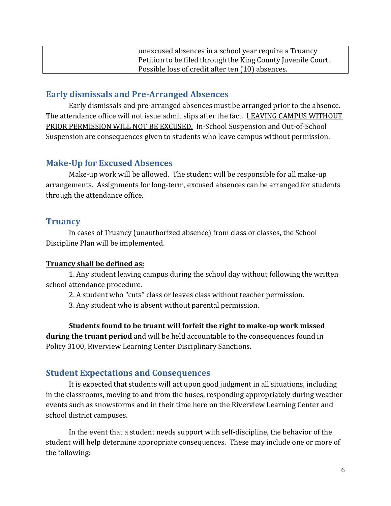| unexcused absences in a school year require a Truancy        |
|--------------------------------------------------------------|
| Petition to be filed through the King County Juvenile Court. |
| Possible loss of credit after ten (10) absences.             |

#### **Early dismissals and Pre-Arranged Absences**

Early dismissals and pre-arranged absences must be arranged prior to the absence. The attendance office will not issue admit slips after the fact. LEAVING CAMPUS WITHOUT PRIOR PERMISSION WILL NOT BE EXCUSED. In-School Suspension and Out-of-School Suspension are consequences given to students who leave campus without permission.

#### **Make-Up for Excused Absences**

Make-up work will be allowed. The student will be responsible for all make-up arrangements. Assignments for long-term, excused absences can be arranged for students through the attendance office.

#### **Truancy**

In cases of Truancy (unauthorized absence) from class or classes, the School Discipline Plan will be implemented.

#### **Truancy shall be defined as:**

1. Any student leaving campus during the school day without following the written school attendance procedure.

2. A student who "cuts" class or leaves class without teacher permission.

3. Any student who is absent without parental permission.

**Students found to be truant will forfeit the right to make-up work missed during the truant period** and will be held accountable to the consequences found in Policy 3100, Riverview Learning Center Disciplinary Sanctions.

## **Student Expectations and Consequences**

It is expected that students will act upon good judgment in all situations, including in the classrooms, moving to and from the buses, responding appropriately during weather events such as snowstorms and in their time here on the Riverview Learning Center and school district campuses.

 In the event that a student needs support with self-discipline, the behavior of the student will help determine appropriate consequences. These may include one or more of the following: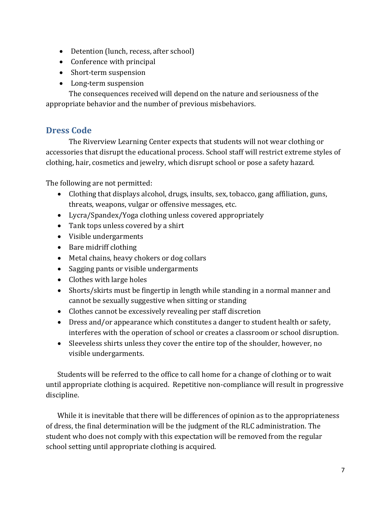- Detention (lunch, recess, after school)
- Conference with principal
- Short-term suspension
- Long-term suspension

 The consequences received will depend on the nature and seriousness of the appropriate behavior and the number of previous misbehaviors.

## **Dress Code**

The Riverview Learning Center expects that students will not wear clothing or accessories that disrupt the educational process. School staff will restrict extreme styles of clothing, hair, cosmetics and jewelry, which disrupt school or pose a safety hazard.

The following are not permitted:

- Clothing that displays alcohol, drugs, insults, sex, tobacco, gang affiliation, guns, threats, weapons, vulgar or offensive messages, etc.
- Lycra/Spandex/Yoga clothing unless covered appropriately
- Tank tops unless covered by a shirt
- Visible undergarments
- Bare midriff clothing
- Metal chains, heavy chokers or dog collars
- Sagging pants or visible undergarments
- Clothes with large holes
- Shorts/skirts must be fingertip in length while standing in a normal manner and cannot be sexually suggestive when sitting or standing
- Clothes cannot be excessively revealing per staff discretion
- Dress and/or appearance which constitutes a danger to student health or safety, interferes with the operation of school or creates a classroom or school disruption.
- Sleeveless shirts unless they cover the entire top of the shoulder, however, no visible undergarments.

Students will be referred to the office to call home for a change of clothing or to wait until appropriate clothing is acquired. Repetitive non-compliance will result in progressive discipline.

While it is inevitable that there will be differences of opinion as to the appropriateness of dress, the final determination will be the judgment of the RLC administration. The student who does not comply with this expectation will be removed from the regular school setting until appropriate clothing is acquired.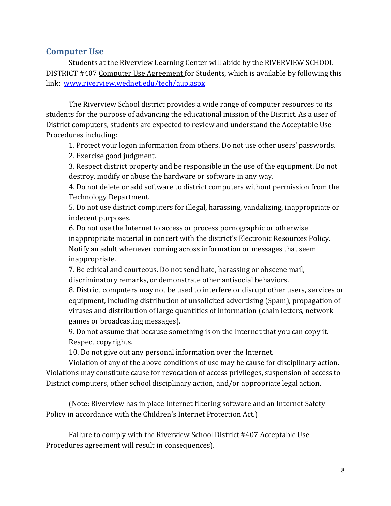#### **Computer Use**

Students at the Riverview Learning Center will abide by the RIVERVIEW SCHOOL DISTRICT #407 Computer Use Agreement for Students, which is available by following this link: [www.riverview.wednet.edu/tech/aup.aspx](http://www.riverview.wednet.edu/tech/aup.aspx)

The Riverview School district provides a wide range of computer resources to its students for the purpose of advancing the educational mission of the District. As a user of District computers, students are expected to review and understand the Acceptable Use Procedures including:

1. Protect your logon information from others. Do not use other users' passwords.

2. Exercise good judgment.

3. Respect district property and be responsible in the use of the equipment. Do not destroy, modify or abuse the hardware or software in any way.

4. Do not delete or add software to district computers without permission from the Technology Department.

5. Do not use district computers for illegal, harassing, vandalizing, inappropriate or indecent purposes.

6. Do not use the Internet to access or process pornographic or otherwise inappropriate material in concert with the district's Electronic Resources Policy. Notify an adult whenever coming across information or messages that seem inappropriate.

7. Be ethical and courteous. Do not send hate, harassing or obscene mail, discriminatory remarks, or demonstrate other antisocial behaviors.

8. District computers may not be used to interfere or disrupt other users, services or equipment, including distribution of unsolicited advertising (Spam), propagation of viruses and distribution of large quantities of information (chain letters, network games or broadcasting messages).

9. Do not assume that because something is on the Internet that you can copy it. Respect copyrights.

10. Do not give out any personal information over the Internet.

Violation of any of the above conditions of use may be cause for disciplinary action. Violations may constitute cause for revocation of access privileges, suspension of access to District computers, other school disciplinary action, and/or appropriate legal action.

(Note: Riverview has in place Internet filtering software and an Internet Safety Policy in accordance with the Children's Internet Protection Act.)

Failure to comply with the Riverview School District #407 Acceptable Use Procedures agreement will result in consequences).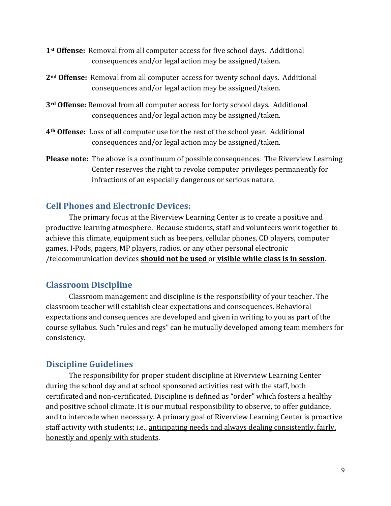- **1st Offense:** Removal from all computer access for five school days. Additional consequences and/or legal action may be assigned/taken.
- **2nd Offense:** Removal from all computer access for twenty school days. Additional consequences and/or legal action may be assigned/taken.
- **3rd Offense:** Removal from all computer access for forty school days. Additional consequences and/or legal action may be assigned/taken.
- **4th Offense:** Loss of all computer use for the rest of the school year. Additional consequences and/or legal action may be assigned/taken.
- **Please note:** The above is a continuum of possible consequences. The Riverview Learning Center reserves the right to revoke computer privileges permanently for infractions of an especially dangerous or serious nature.

## **Cell Phones and Electronic Devices:**

The primary focus at the Riverview Learning Center is to create a positive and productive learning atmosphere. Because students, staff and volunteers work together to achieve this climate, equipment such as beepers, cellular phones, CD players, computer games, I-Pods, pagers, MP players, radios, or any other personal electronic /telecommunication devices **should not be used** or **visible while class is in session**.

## **Classroom Discipline**

Classroom management and discipline is the responsibility of your teacher. The classroom teacher will establish clear expectations and consequences. Behavioral expectations and consequences are developed and given in writing to you as part of the course syllabus. Such "rules and regs" can be mutually developed among team members for consistency.

## **Discipline Guidelines**

The responsibility for proper student discipline at Riverview Learning Center during the school day and at school sponsored activities rest with the staff, both certificated and non-certificated. Discipline is defined as "order" which fosters a healthy and positive school climate. It is our mutual responsibility to observe, to offer guidance, and to intercede when necessary. A primary goal of Riverview Learning Center is proactive staff activity with students; i.e., anticipating needs and always dealing consistently, fairly, honestly and openly with students.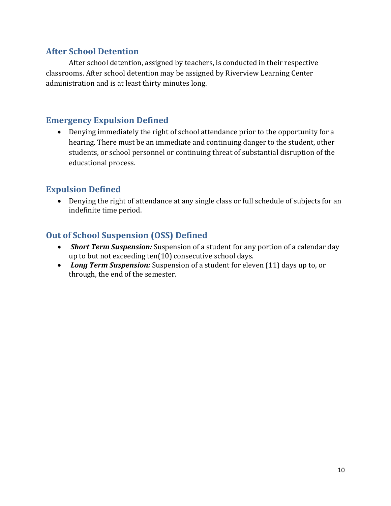#### **After School Detention**

After school detention, assigned by teachers, is conducted in their respective classrooms. After school detention may be assigned by Riverview Learning Center administration and is at least thirty minutes long.

## **Emergency Expulsion Defined**

 Denying immediately the right of school attendance prior to the opportunity for a hearing. There must be an immediate and continuing danger to the student, other students, or school personnel or continuing threat of substantial disruption of the educational process.

#### **Expulsion Defined**

 Denying the right of attendance at any single class or full schedule of subjects for an indefinite time period.

## **Out of School Suspension (OSS) Defined**

- *Short Term Suspension:* Suspension of a student for any portion of a calendar day up to but not exceeding ten(10) consecutive school days.
- *Long Term Suspension:* Suspension of a student for eleven (11) days up to, or through, the end of the semester.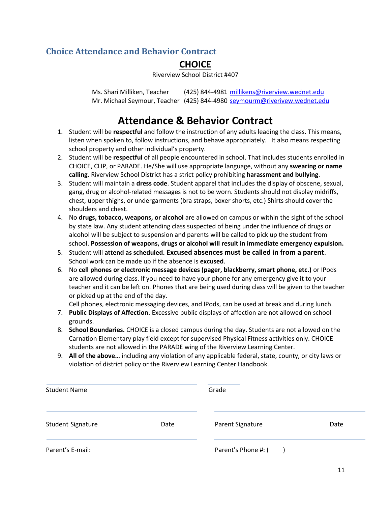## **Choice Attendance and Behavior Contract**

## **CHOICE**

Riverview School District #407

Ms. Shari Milliken, Teacher (425) 844-4981 [millikens@riverview.wednet.edu](mailto:millikens@riverview.wednet.edu) Mr. Michael Seymour, Teacher (425) 844-4980 seymourm@riverivew.wednet.edu

## **Attendance & Behavior Contract**

- 1. Student will be **respectful** and follow the instruction of any adults leading the class. This means, listen when spoken to, follow instructions, and behave appropriately. It also means respecting school property and other individual's property.
- 2. Student will be **respectful** of all people encountered in school. That includes students enrolled in CHOICE, CLIP, or PARADE. He/She will use appropriate language, without any **swearing or name calling**. Riverview School District has a strict policy prohibiting **harassment and bullying**.
- 3. Student will maintain a **dress code**. Student apparel that includes the display of obscene, sexual, gang, drug or alcohol-related messages is not to be worn. Students should not display midriffs, chest, upper thighs, or undergarments (bra straps, boxer shorts, etc.) Shirts should cover the shoulders and chest.
- 4. No **drugs, tobacco, weapons, or alcohol** are allowed on campus or within the sight of the school by state law. Any student attending class suspected of being under the influence of drugs or alcohol will be subject to suspension and parents will be called to pick up the student from school. **Possession of weapons, drugs or alcohol will result in immediate emergency expulsion.**
- 5. Student will **attend as scheduled. Excused absences must be called in from a parent**. School work can be made up if the absence is **excused**.
- 6. No **cell phones or electronic message devices (pager, blackberry, smart phone, etc.)** or IPods are allowed during class. If you need to have your phone for any emergency give it to your teacher and it can be left on. Phones that are being used during class will be given to the teacher or picked up at the end of the day.

Cell phones, electronic messaging devices, and IPods, can be used at break and during lunch.

- 7. **Public Displays of Affection.** Excessive public displays of affection are not allowed on school grounds.
- 8. **School Boundaries.** CHOICE is a closed campus during the day. Students are not allowed on the Carnation Elementary play field except for supervised Physical Fitness activities only. CHOICE students are not allowed in the PARADE wing of the Riverview Learning Center.
- 9. **All of the above…** including any violation of any applicable federal, state, county, or city laws or violation of district policy or the Riverview Learning Center Handbook.

| <b>Student Name</b> |      | Grade               |      |  |  |
|---------------------|------|---------------------|------|--|--|
| Student Signature   | Date | Parent Signature    | Date |  |  |
| Parent's E-mail:    |      | Parent's Phone #: ( |      |  |  |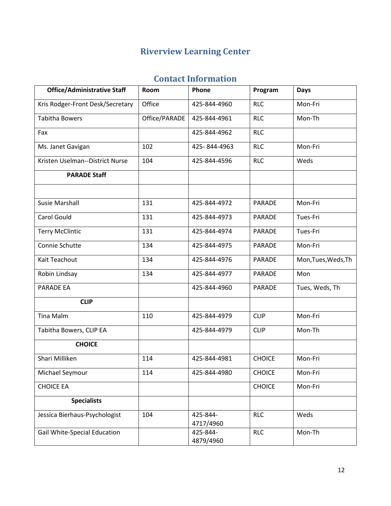## **Riverview Learning Center**

## **Contact Information**

| <b>Office/Administrative Staff</b> | Room          | Phone                 | Program       | <b>Days</b>         |
|------------------------------------|---------------|-----------------------|---------------|---------------------|
| Kris Rodger-Front Desk/Secretary   | Office        | 425-844-4960          | <b>RLC</b>    | Mon-Fri             |
| <b>Tabitha Bowers</b>              | Office/PARADE | 425-844-4961          | <b>RLC</b>    | Mon-Th              |
| Fax                                |               | 425-844-4962          | <b>RLC</b>    |                     |
| Ms. Janet Gavigan                  | 102           | 425-844-4963          | <b>RLC</b>    | Mon-Fri             |
| Kristen Uselman--District Nurse    | 104           | 425-844-4596          | <b>RLC</b>    | Weds                |
| <b>PARADE Staff</b>                |               |                       |               |                     |
|                                    |               |                       |               |                     |
| <b>Susie Marshall</b>              | 131           | 425-844-4972          | <b>PARADE</b> | Mon-Fri             |
| <b>Carol Gould</b>                 | 131           | 425-844-4973          | <b>PARADE</b> | Tues-Fri            |
| <b>Terry McClintic</b>             | 131           | 425-844-4974          | <b>PARADE</b> | Tues-Fri            |
| Connie Schutte                     | 134           | 425-844-4975          | PARADE        | Mon-Fri             |
| Kait Teachout                      | 134           | 425-844-4976          | <b>PARADE</b> | Mon, Tues, Weds, Th |
| Robin Lindsay                      | 134           | 425-844-4977          | PARADE        | Mon                 |
| PARADE EA                          |               | 425-844-4960          | <b>PARADE</b> | Tues, Weds, Th      |
| <b>CLIP</b>                        |               |                       |               |                     |
| <b>Tina Malm</b>                   | 110           | 425-844-4979          | <b>CLIP</b>   | Mon-Fri             |
| Tabitha Bowers, CLIP EA            |               | 425-844-4979          | <b>CLIP</b>   | Mon-Th              |
| <b>CHOICE</b>                      |               |                       |               |                     |
| Shari Milliken                     | 114           | 425-844-4981          | <b>CHOICE</b> | Mon-Fri             |
| Michael Seymour                    | 114           | 425-844-4980          | <b>CHOICE</b> | Mon-Fri             |
| <b>CHOICE EA</b>                   |               |                       | <b>CHOICE</b> | Mon-Fri             |
| <b>Specialists</b>                 |               |                       |               |                     |
| Jessica Bierhaus-Psychologist      | 104           | 425-844-<br>4717/4960 | <b>RLC</b>    | Weds                |
| Gail White-Special Education       |               | 425-844-<br>4879/4960 | <b>RLC</b>    | Mon-Th              |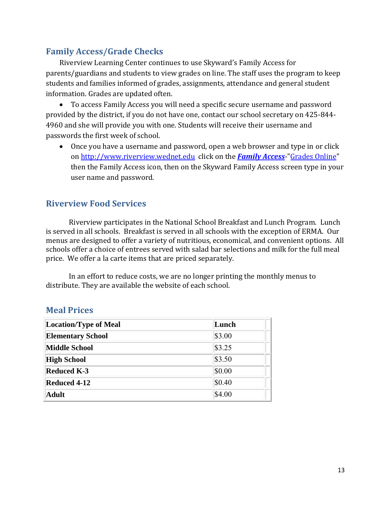## **Family Access/Grade Checks**

Riverview Learning Center continues to use Skyward's Family Access for parents/guardians and students to view grades on line. The staff uses the program to keep students and families informed of grades, assignments, attendance and general student information. Grades are updated often.

 To access Family Access you will need a specific secure username and password provided by the district, if you do not have one, contact our school secretary on 425-844- 4960 and she will provide you with one. Students will receive their username and passwords the first week of school.

 Once you have a username and password, open a web browser and type in or click o[n http://www.riverview.wednet.edu](http://www.riverview.wednet.edu/) click on the *[Family Access](http://www.riverview.wednet.edu/familyaccess.htm)*-["Grades Online"](http://family.riverview.wa-k12.net/) then the Family Access icon, then on the Skyward Family Access screen type in your user name and password.

#### **Riverview Food Services**

Riverview participates in the National School Breakfast and Lunch Program. Lunch is served in all schools. Breakfast is served in all schools with the exception of ERMA. Our menus are designed to offer a variety of nutritious, economical, and convenient options. All schools offer a choice of entrees served with salad bar selections and milk for the full meal price. We offer a la carte items that are priced separately.

In an effort to reduce costs, we are no longer printing the monthly menus to distribute. They are available the website of each school.

#### **Meal Prices**

| Location/Type of Meal    | Lunch    |
|--------------------------|----------|
| <b>Elementary School</b> | \$3.00   |
| Middle School            | \$3.25   |
| <b>High School</b>       | \$3.50   |
| <b>Reduced K-3</b>       | \$0.00   |
| <b>Reduced 4-12</b>      | $\$0.40$ |
| Adult                    | \$4.00   |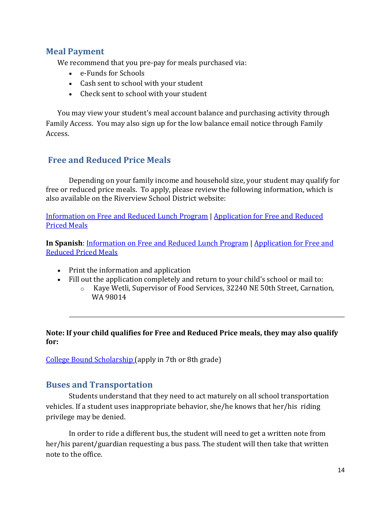#### **Meal Payment**

We recommend that you pre-pay for meals purchased via:

- e-Funds for Schools
- Cash sent to school with your student
- Check sent to school with your student

You may view your student's meal account balance and purchasing activity through Family Access. You may also sign up for the low balance email notice through Family Access.

#### **Free and Reduced Price Meals**

Depending on your family income and household size, your student may qualify for free or reduced price meals. To apply, please review the following information, which is also available on the Riverview School District website:

[Information on Free and Reduced Lunch Program](http://www.riverview.wednet.edu/food/free_reduced/free_reduced_info.pdf) | [Application for Free and Reduced](http://www.riverview.wednet.edu/food/free_reduced/free_reduced_application.pdf)  [Priced Meals](http://www.riverview.wednet.edu/food/free_reduced/free_reduced_application.pdf)

**In Spanish**: [Information on Free and Reduced Lunch Program](http://www.riverview.wednet.edu/food/free_reduced/free_reduced_info_spanish.pdf) | [Application for Free and](http://www.riverview.wednet.edu/food/free_reduced/free_reduced_application_spanish.pdf)  [Reduced Priced Meals](http://www.riverview.wednet.edu/food/free_reduced/free_reduced_application_spanish.pdf)

- Print the information and application
- Fill out the application completely and return to your child's school or mail to:
	- o Kaye Wetli, Supervisor of Food Services, 32240 NE 50th Street, Carnation, WA 98014

#### **Note: If your child qualifies for Free and Reduced Price meals, they may also qualify for:**

[College Bound Scholarship \(](http://www.riverview.wednet.edu/docs/college_bound_scholarship.pdf)apply in 7th or 8th grade)

#### **Buses and Transportation**

Students understand that they need to act maturely on all school transportation vehicles. If a student uses inappropriate behavior, she/he knows that her/his riding privilege may be denied.

In order to ride a different bus, the student will need to get a written note from her/his parent/guardian requesting a bus pass. The student will then take that written note to the office.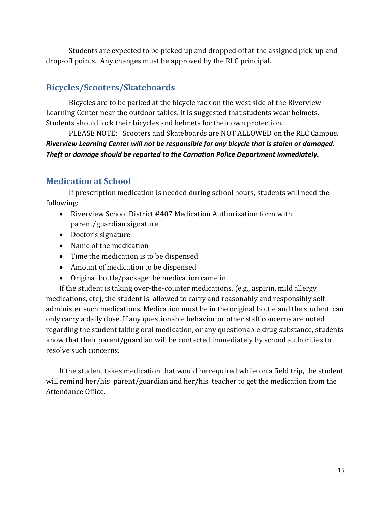Students are expected to be picked up and dropped off at the assigned pick-up and drop-off points. Any changes must be approved by the RLC principal.

## **Bicycles/Scooters/Skateboards**

Bicycles are to be parked at the bicycle rack on the west side of the Riverview Learning Center near the outdoor tables. It is suggested that students wear helmets. Students should lock their bicycles and helmets for their own protection.

PLEASE NOTE: Scooters and Skateboards are NOT ALLOWED on the RLC Campus. *Riverview Learning Center will not be responsible for any bicycle that is stolen or damaged. Theft or damage should be reported to the Carnation Police Department immediately.* 

## **Medication at School**

If prescription medication is needed during school hours, students will need the following:

- Riverview School District #407 Medication Authorization form with parent/guardian signature
- Doctor's signature
- Name of the medication
- Time the medication is to be dispensed
- Amount of medication to be dispensed
- Original bottle/package the medication came in

If the student is taking over-the-counter medications, (e.g., aspirin, mild allergy medications, etc), the student is allowed to carry and reasonably and responsibly selfadminister such medications. Medication must be in the original bottle and the student can only carry a daily dose. If any questionable behavior or other staff concerns are noted regarding the student taking oral medication, or any questionable drug substance, students know that their parent/guardian will be contacted immediately by school authorities to resolve such concerns.

If the student takes medication that would be required while on a field trip, the student will remind her/his parent/guardian and her/his teacher to get the medication from the Attendance Office.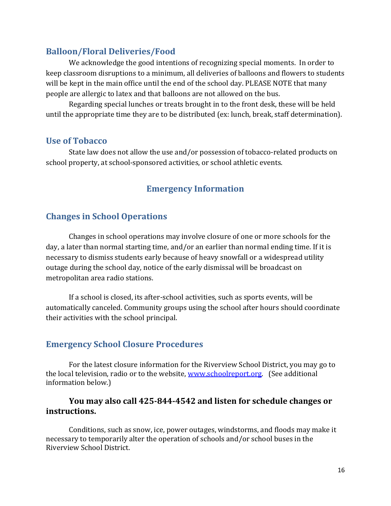#### **Balloon/Floral Deliveries/Food**

We acknowledge the good intentions of recognizing special moments. In order to keep classroom disruptions to a minimum, all deliveries of balloons and flowers to students will be kept in the main office until the end of the school day. PLEASE NOTE that many people are allergic to latex and that balloons are not allowed on the bus.

Regarding special lunches or treats brought in to the front desk, these will be held until the appropriate time they are to be distributed (ex: lunch, break, staff determination).

#### **Use of Tobacco**

State law does not allow the use and/or possession of tobacco-related products on school property, at school-sponsored activities, or school athletic events.

## **Emergency Information**

#### **Changes in School Operations**

Changes in school operations may involve closure of one or more schools for the day, a later than normal starting time, and/or an earlier than normal ending time. If it is necessary to dismiss students early because of heavy snowfall or a widespread utility outage during the school day, notice of the early dismissal will be broadcast on metropolitan area radio stations.

If a school is closed, its after-school activities, such as sports events, will be automatically canceled. Community groups using the school after hours should coordinate their activities with the school principal.

#### **Emergency School Closure Procedures**

 For the latest closure information for the Riverview School District, you may go to the local television, radio or to the website, [www.schoolreport.org.](http://www.schoolreport.org/) (See additional information below.)

#### **You may also call 425-844-4542 and listen for schedule changes or instructions.**

 Conditions, such as snow, ice, power outages, windstorms, and floods may make it necessary to temporarily alter the operation of schools and/or school buses in the Riverview School District.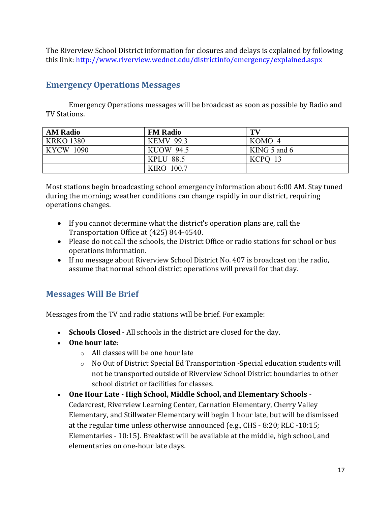The Riverview School District information for closures and delays is explained by following this link:<http://www.riverview.wednet.edu/districtinfo/emergency/explained.aspx>

## **Emergency Operations Messages**

Emergency Operations messages will be broadcast as soon as possible by Radio and TV Stations.

| <b>AM Radio</b>  | <b>FM Radio</b>   | TV               |
|------------------|-------------------|------------------|
| <b>KRKO 1380</b> | <b>KEMV 99.3</b>  | KOMO 4           |
| <b>KYCW 1090</b> | <b>KUOW 94.5</b>  | KING $5$ and $6$ |
|                  | <b>KPLU 88.5</b>  | KCPO 13          |
|                  | <b>KIRO 100.7</b> |                  |

Most stations begin broadcasting school emergency information about 6:00 AM. Stay tuned during the morning; weather conditions can change rapidly in our district, requiring operations changes.

- If you cannot determine what the district's operation plans are, call the Transportation Office at (425) 844-4540.
- Please do not call the schools, the District Office or radio stations for school or bus operations information.
- If no message about Riverview School District No. 407 is broadcast on the radio, assume that normal school district operations will prevail for that day.

## **Messages Will Be Brief**

Messages from the TV and radio stations will be brief. For example:

- **Schools Closed**  All schools in the district are closed for the day.
- **One hour late**:
	- o All classes will be one hour late
	- o No Out of District Special Ed Transportation -Special education students will not be transported outside of Riverview School District boundaries to other school district or facilities for classes.
- **One Hour Late High School, Middle School, and Elementary Schools** Cedarcrest, Riverview Learning Center, Carnation Elementary, Cherry Valley Elementary, and Stillwater Elementary will begin 1 hour late, but will be dismissed at the regular time unless otherwise announced (e.g., CHS - 8:20; RLC -10:15; Elementaries - 10:15). Breakfast will be available at the middle, high school, and elementaries on one-hour late days.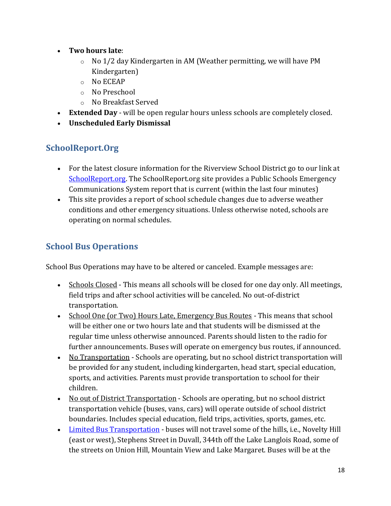- **Two hours late**:
	- $\circ$  No 1/2 day Kindergarten in AM (Weather permitting, we will have PM Kindergarten)
	- o No ECEAP
	- o No Preschool
	- o No Breakfast Served
- **Extended Day** will be open regular hours unless schools are completely closed.
- **Unscheduled Early Dismissal**

## **SchoolReport.Org**

- For the latest closure information for the Riverview School District go to our link at [SchoolReport.org.](http://www.schoolreport.org/schoolDetail.php?schoolId=62) The SchoolReport.org site provides a Public Schools Emergency Communications System report that is current (within the last four minutes)
- This site provides a report of school schedule changes due to adverse weather conditions and other emergency situations. Unless otherwise noted, schools are operating on normal schedules.

## **School Bus Operations**

School Bus Operations may have to be altered or canceled. Example messages are:

- Schools Closed This means all schools will be closed for one day only. All meetings, field trips and after school activities will be canceled. No out-of-district transportation.
- School One (or Two) Hours Late, Emergency Bus Routes This means that school will be either one or two hours late and that students will be dismissed at the regular time unless otherwise announced. Parents should listen to the radio for further announcements. Buses will operate on emergency bus routes, if announced.
- No Transportation Schools are operating, but no school district transportation will be provided for any student, including kindergarten, head start, special education, sports, and activities. Parents must provide transportation to school for their children.
- No out of District Transportation Schools are operating, but no school district transportation vehicle (buses, vans, cars) will operate outside of school district boundaries. Includes special education, field trips, activities, sports, games, etc.
- Limited Bus Transportation buses will not travel some of the hills, i.e., Novelty Hill (east or west), Stephens Street in Duvall, 344th off the Lake Langlois Road, some of the streets on Union Hill, Mountain View and Lake Margaret. Buses will be at the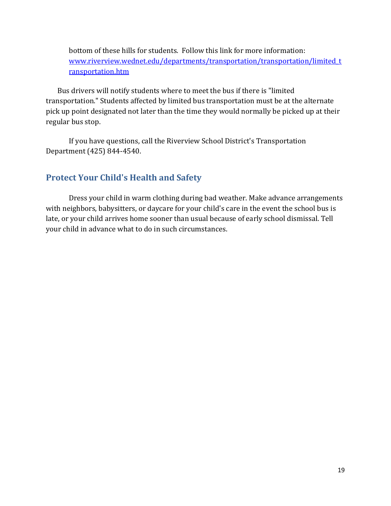bottom of these hills for students. Follow this link for more information: [www.riverview.wednet.edu/departments/transportation/transportation/limited\\_t](http://www.riverview.wednet.edu/departments/transportation/transportation/limited_transportation.htm) [ransportation.htm](http://www.riverview.wednet.edu/departments/transportation/transportation/limited_transportation.htm)

Bus drivers will notify students where to meet the bus if there is "limited transportation." Students affected by limited bus transportation must be at the alternate pick up point designated not later than the time they would normally be picked up at their regular bus stop.

 If you have questions, call the Riverview School District's Transportation Department (425) 844-4540.

#### **Protect Your Child's Health and Safety**

Dress your child in warm clothing during bad weather. Make advance arrangements with neighbors, babysitters, or daycare for your child's care in the event the school bus is late, or your child arrives home sooner than usual because of early school dismissal. Tell your child in advance what to do in such circumstances.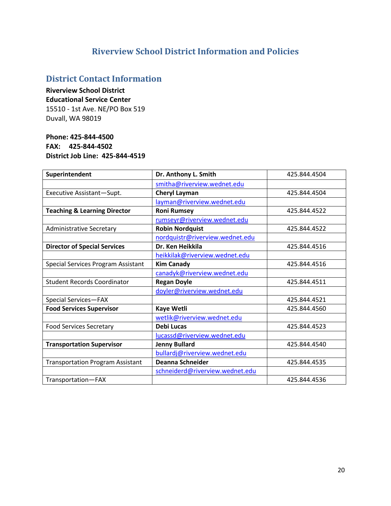## **Riverview School District Information and Policies**

## **District Contact Information**

#### **Riverview School District Educational Service Center** 15510 - 1st Ave. NE/PO Box 519 Duvall, WA 98019

#### **Phone: 425-844-4500 FAX: 425-844-4502 District Job Line: 425-844-4519**

| Superintendent                          | Dr. Anthony L. Smith            | 425.844.4504 |
|-----------------------------------------|---------------------------------|--------------|
|                                         | smitha@riverview.wednet.edu     |              |
| Executive Assistant-Supt.               | <b>Cheryl Layman</b>            | 425.844.4504 |
|                                         | layman@riverview.wednet.edu     |              |
| <b>Teaching &amp; Learning Director</b> | <b>Roni Rumsey</b>              | 425.844.4522 |
|                                         | rumseyr@riverview.wednet.edu    |              |
| <b>Administrative Secretary</b>         | <b>Robin Nordquist</b>          | 425.844.4522 |
|                                         | nordquistr@riverview.wednet.edu |              |
| <b>Director of Special Services</b>     | Dr. Ken Heikkila                | 425.844.4516 |
|                                         | heikkilak@riverview.wednet.edu  |              |
| Special Services Program Assistant      | <b>Kim Canady</b>               | 425.844.4516 |
|                                         | canadyk@riverview.wednet.edu    |              |
| <b>Student Records Coordinator</b>      | <b>Regan Doyle</b>              | 425.844.4511 |
|                                         | doyler@riverview.wednet.edu     |              |
| Special Services-FAX                    |                                 | 425.844.4521 |
| <b>Food Services Supervisor</b>         | Kaye Wetli                      | 425.844.4560 |
|                                         | wetlik@riverview.wednet.edu     |              |
| <b>Food Services Secretary</b>          | Debi Lucas                      | 425.844.4523 |
|                                         | lucassd@riverview.wednet.edu    |              |
| <b>Transportation Supervisor</b>        | <b>Jenny Bullard</b>            | 425.844.4540 |
|                                         | bullardj@riverview.wednet.edu   |              |
| <b>Transportation Program Assistant</b> | Deanna Schneider                | 425.844.4535 |
|                                         | schneiderd@riverview.wednet.edu |              |
| Transportation-FAX                      |                                 | 425.844.4536 |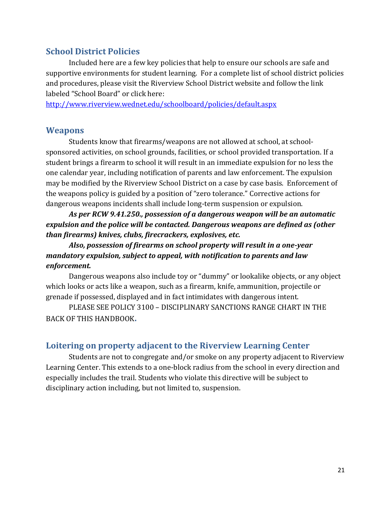#### **School District Policies**

Included here are a few key policies that help to ensure our schools are safe and supportive environments for student learning. For a complete list of school district policies and procedures, please visit the Riverview School District website and follow the link labeled "School Board" or click here:

<http://www.riverview.wednet.edu/schoolboard/policies/default.aspx>

#### **Weapons**

Students know that firearms/weapons are not allowed at school, at schoolsponsored activities, on school grounds, facilities, or school provided transportation. If a student brings a firearm to school it will result in an immediate expulsion for no less the one calendar year, including notification of parents and law enforcement. The expulsion may be modified by the Riverview School District on a case by case basis. Enforcement of the weapons policy is guided by a position of "zero tolerance." Corrective actions for dangerous weapons incidents shall include long-term suspension or expulsion.

*As per RCW 9.41.250., possession of a dangerous weapon will be an automatic expulsion and the police will be contacted. Dangerous weapons are defined as (other than firearms) knives, clubs, firecrackers, explosives, etc.* 

 *Also, possession of firearms on school property will result in a one-year mandatory expulsion, subject to appeal, with notification to parents and law enforcement.* 

Dangerous weapons also include toy or "dummy" or lookalike objects, or any object which looks or acts like a weapon, such as a firearm, knife, ammunition, projectile or grenade if possessed, displayed and in fact intimidates with dangerous intent.

PLEASE SEE POLICY 3100 – DISCIPLINARY SANCTIONS RANGE CHART IN THE BACK OF THIS HANDBOOK**.** 

#### **Loitering on property adjacent to the Riverview Learning Center**

Students are not to congregate and/or smoke on any property adjacent to Riverview Learning Center. This extends to a one-block radius from the school in every direction and especially includes the trail. Students who violate this directive will be subject to disciplinary action including, but not limited to, suspension.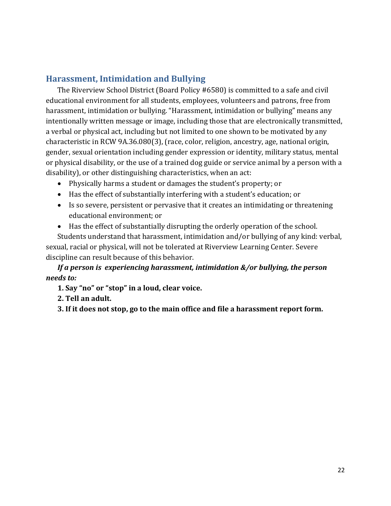## **Harassment, Intimidation and Bullying**

The Riverview School District (Board Policy #6580) is committed to a safe and civil educational environment for all students, employees, volunteers and patrons, free from harassment, intimidation or bullying. "Harassment, intimidation or bullying" means any intentionally written message or image, including those that are electronically transmitted, a verbal or physical act, including but not limited to one shown to be motivated by any characteristic in RCW 9A.36.080(3), (race, color, religion, ancestry, age, national origin, gender, sexual orientation including gender expression or identity, military status, mental or physical disability, or the use of a trained dog guide or service animal by a person with a disability), or other distinguishing characteristics, when an act:

- Physically harms a student or damages the student's property; or
- Has the effect of substantially interfering with a student's education; or
- Is so severe, persistent or pervasive that it creates an intimidating or threatening educational environment; or
- Has the effect of substantially disrupting the orderly operation of the school.

Students understand that harassment, intimidation and/or bullying of any kind: verbal, sexual, racial or physical, will not be tolerated at Riverview Learning Center. Severe discipline can result because of this behavior.

*If a person is experiencing harassment, intimidation &/or bullying, the person needs to:* 

**1. Say "no" or "stop" in a loud, clear voice.**

#### **2. Tell an adult.**

**3. If it does not stop, go to the main office and file a harassment report form.**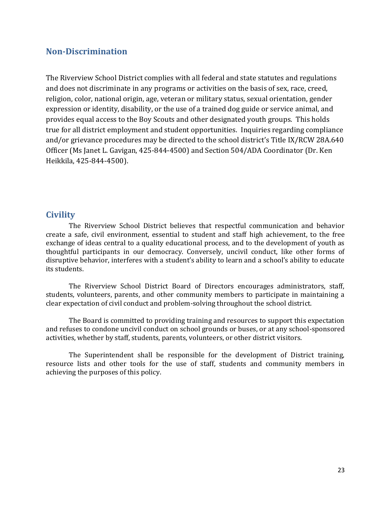#### **Non-Discrimination**

The Riverview School District complies with all federal and state statutes and regulations and does not discriminate in any programs or activities on the basis of sex, race, creed, religion, color, national origin, age, veteran or military status, sexual orientation, gender expression or identity, disability, or the use of a trained dog guide or service animal, and provides equal access to the Boy Scouts and other designated youth groups. This holds true for all district employment and student opportunities. Inquiries regarding compliance and/or grievance procedures may be directed to the school district's Title IX/RCW 28A.640 Officer (Ms Janet L. Gavigan, 425-844-4500) and Section 504/ADA Coordinator (Dr. Ken Heikkila, 425-844-4500).

#### **Civility**

 The Riverview School District believes that respectful communication and behavior create a safe, civil environment, essential to student and staff high achievement, to the free exchange of ideas central to a quality educational process, and to the development of youth as thoughtful participants in our democracy. Conversely, uncivil conduct, like other forms of disruptive behavior, interferes with a student's ability to learn and a school's ability to educate its students.

 The Riverview School District Board of Directors encourages administrators, staff, students, volunteers, parents, and other community members to participate in maintaining a clear expectation of civil conduct and problem-solving throughout the school district.

 The Board is committed to providing training and resources to support this expectation and refuses to condone uncivil conduct on school grounds or buses, or at any school-sponsored activities, whether by staff, students, parents, volunteers, or other district visitors.

 The Superintendent shall be responsible for the development of District training, resource lists and other tools for the use of staff, students and community members in achieving the purposes of this policy.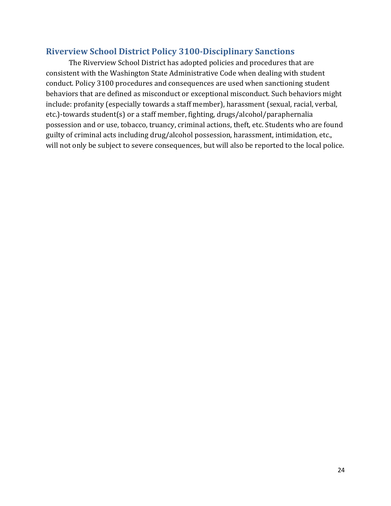#### **Riverview School District Policy 3100-Disciplinary Sanctions**

The Riverview School District has adopted policies and procedures that are consistent with the Washington State Administrative Code when dealing with student conduct. Policy 3100 procedures and consequences are used when sanctioning student behaviors that are defined as misconduct or exceptional misconduct. Such behaviors might include: profanity (especially towards a staff member), harassment (sexual, racial, verbal, etc.)-towards student(s) or a staff member, fighting, drugs/alcohol/paraphernalia possession and or use, tobacco, truancy, criminal actions, theft, etc. Students who are found guilty of criminal acts including drug/alcohol possession, harassment, intimidation, etc., will not only be subject to severe consequences, but will also be reported to the local police.